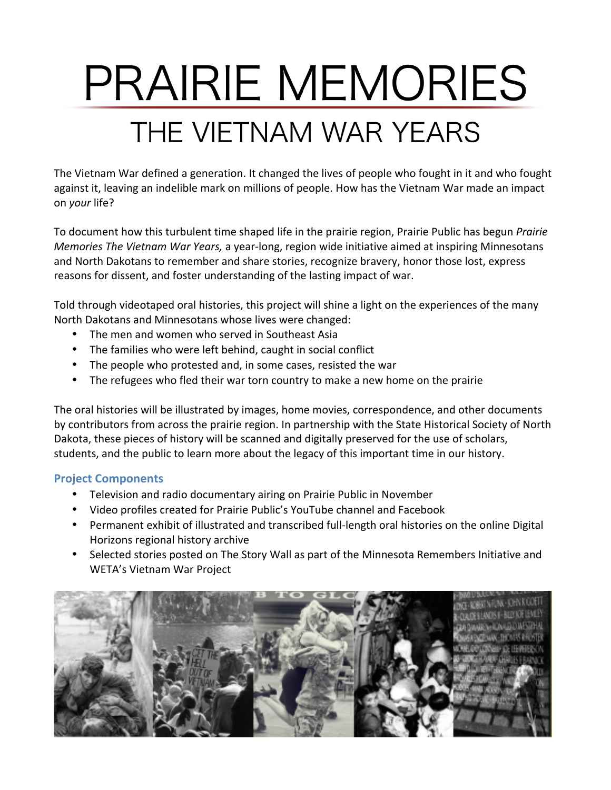# PRAIRIE MEMORIES THE VIETNAM WAR YEARS

The Vietnam War defined a generation. It changed the lives of people who fought in it and who fought against it, leaving an indelible mark on millions of people. How has the Vietnam War made an impact on *your* life?

To document how this turbulent time shaped life in the prairie region, Prairie Public has begun *Prairie Memories The Vietnam War Years,* a year-long, region wide initiative aimed at inspiring Minnesotans and North Dakotans to remember and share stories, recognize bravery, honor those lost, express reasons for dissent, and foster understanding of the lasting impact of war.

Told through videotaped oral histories, this project will shine a light on the experiences of the many North Dakotans and Minnesotans whose lives were changed:

- The men and women who served in Southeast Asia
- The families who were left behind, caught in social conflict
- The people who protested and, in some cases, resisted the war
- The refugees who fled their war torn country to make a new home on the prairie

The oral histories will be illustrated by images, home movies, correspondence, and other documents by contributors from across the prairie region. In partnership with the State Historical Society of North Dakota, these pieces of history will be scanned and digitally preserved for the use of scholars, students, and the public to learn more about the legacy of this important time in our history.

## **Project Components**

- Television and radio documentary airing on Prairie Public in November
- Video profiles created for Prairie Public's YouTube channel and Facebook
- Permanent exhibit of illustrated and transcribed full-length oral histories on the online Digital Horizons regional history archive
- Selected stories posted on The Story Wall as part of the Minnesota Remembers Initiative and WETA's Vietnam War Project